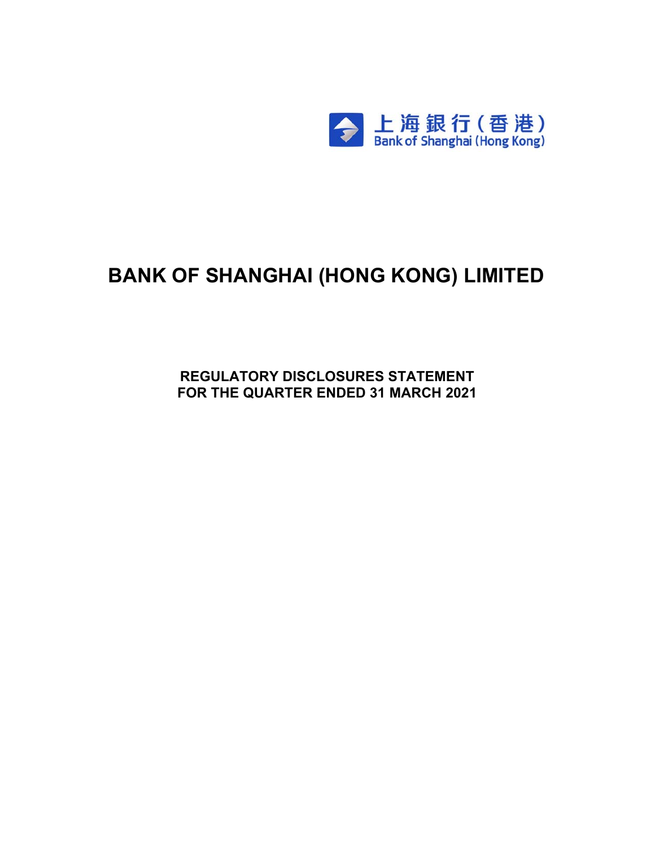

# **BANK OF SHANGHAI (HONG KONG) LIMITED**

**REGULATORY DISCLOSURES STATEMENT FOR THE QUARTER ENDED 31 MARCH 2021**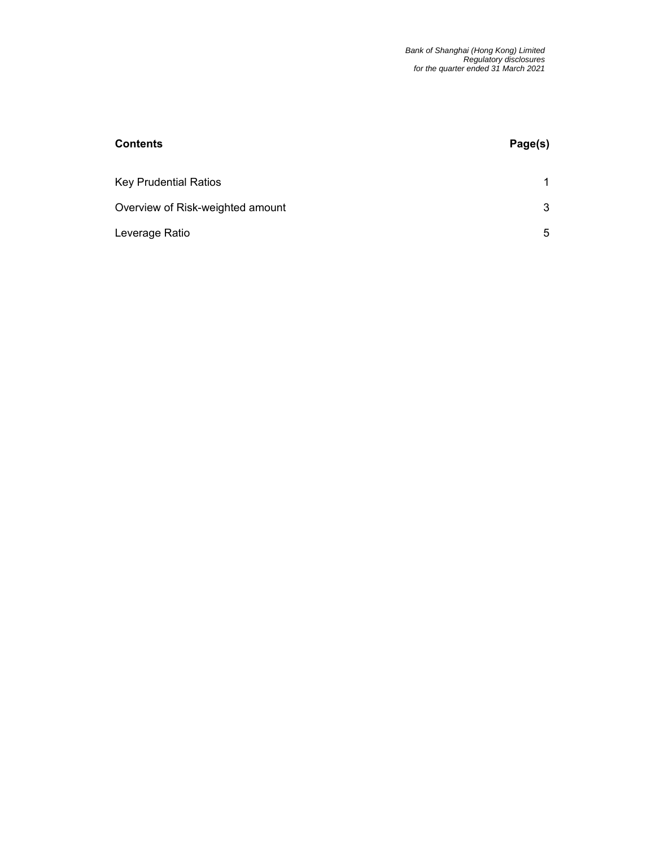| <b>Contents</b>                  | Page(s) |
|----------------------------------|---------|
| <b>Key Prudential Ratios</b>     |         |
| Overview of Risk-weighted amount | 3       |
| Leverage Ratio                   | 5       |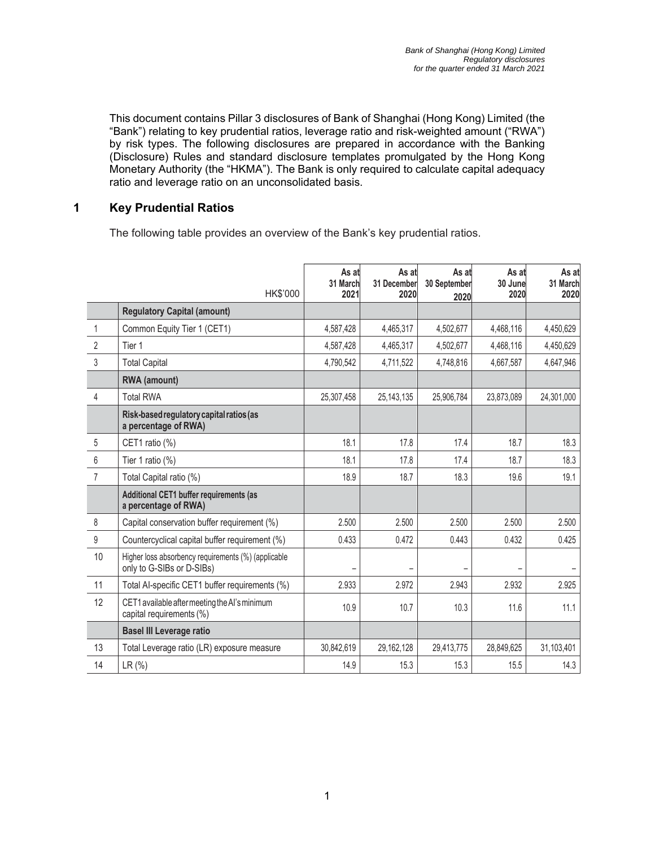This document contains Pillar 3 disclosures of Bank of Shanghai (Hong Kong) Limited (the "Bank") relating to key prudential ratios, leverage ratio and risk-weighted amount ("RWA") by risk types. The following disclosures are prepared in accordance with the Banking (Disclosure) Rules and standard disclosure templates promulgated by the Hong Kong Monetary Authority (the "HKMA"). The Bank is only required to calculate capital adequacy ratio and leverage ratio on an unconsolidated basis.

#### **1 Key Prudential Ratios**

The following table provides an overview of the Bank's key prudential ratios.

|                  | HK\$'000                                                                         | As at<br>31 March<br>2021 | As at<br>31 December<br>2020 | As at<br>30 September<br>2020 | As at<br>30 June<br>2020 | As at<br>31 March<br>2020 |
|------------------|----------------------------------------------------------------------------------|---------------------------|------------------------------|-------------------------------|--------------------------|---------------------------|
|                  | <b>Regulatory Capital (amount)</b>                                               |                           |                              |                               |                          |                           |
| 1                | Common Equity Tier 1 (CET1)                                                      | 4,587,428                 | 4,465,317                    | 4,502,677                     | 4,468,116                | 4,450,629                 |
| $\overline{2}$   | Tier 1                                                                           | 4,587,428                 | 4,465,317                    | 4,502,677                     | 4,468,116                | 4,450,629                 |
| 3                | <b>Total Capital</b>                                                             | 4,790,542                 | 4,711,522                    | 4,748,816                     | 4,667,587                | 4,647,946                 |
|                  | RWA (amount)                                                                     |                           |                              |                               |                          |                           |
| 4                | <b>Total RWA</b>                                                                 | 25,307,458                | 25, 143, 135                 | 25,906,784                    | 23,873,089               | 24,301,000                |
|                  | Risk-based regulatory capital ratios (as<br>a percentage of RWA)                 |                           |                              |                               |                          |                           |
| 5                | CET1 ratio (%)                                                                   | 18.1                      | 17.8                         | 17.4                          | 18.7                     | 18.3                      |
| 6                | Tier 1 ratio (%)                                                                 | 18.1                      | 17.8                         | 17.4                          | 18.7                     | 18.3                      |
| $\overline{7}$   | Total Capital ratio (%)                                                          | 18.9                      | 18.7                         | 18.3                          | 19.6                     | 19.1                      |
|                  | Additional CET1 buffer requirements (as<br>a percentage of RWA)                  |                           |                              |                               |                          |                           |
| 8                | Capital conservation buffer requirement (%)                                      | 2.500                     | 2.500                        | 2.500                         | 2.500                    | 2.500                     |
| $\boldsymbol{9}$ | Countercyclical capital buffer requirement (%)                                   | 0.433                     | 0.472                        | 0.443                         | 0.432                    | 0.425                     |
| 10               | Higher loss absorbency requirements (%) (applicable<br>only to G-SIBs or D-SIBs) |                           |                              |                               |                          |                           |
| 11               | Total Al-specific CET1 buffer requirements (%)                                   | 2.933                     | 2.972                        | 2.943                         | 2.932                    | 2.925                     |
| 12               | CET1 available after meeting the AI's minimum<br>capital requirements (%)        | 10.9                      | 10.7                         | 10.3                          | 11.6                     | 11.1                      |
|                  | <b>Basel III Leverage ratio</b>                                                  |                           |                              |                               |                          |                           |
| 13               | Total Leverage ratio (LR) exposure measure                                       | 30,842,619                | 29,162,128                   | 29,413,775                    | 28,849,625               | 31,103,401                |
| 14               | LR (%)                                                                           | 14.9                      | 15.3                         | 15.3                          | 15.5                     | 14.3                      |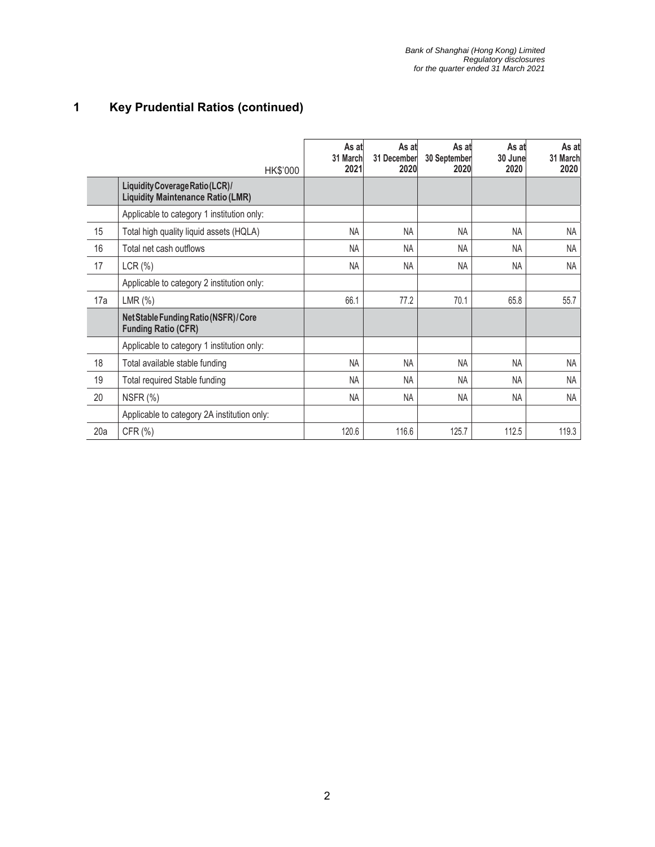## **1 Key Prudential Ratios (continued)**

|     | HK\$'000                                                                    | As at<br>31 March<br>2021 | As at<br>31 December<br>2020 | As at<br>30 September<br>2020 | As at<br>30 June<br>2020 | As at<br>31 March<br>2020 |
|-----|-----------------------------------------------------------------------------|---------------------------|------------------------------|-------------------------------|--------------------------|---------------------------|
|     | Liquidity Coverage Ratio (LCR)/<br><b>Liquidity Maintenance Ratio (LMR)</b> |                           |                              |                               |                          |                           |
|     | Applicable to category 1 institution only:                                  |                           |                              |                               |                          |                           |
| 15  | Total high quality liquid assets (HQLA)                                     | <b>NA</b>                 | <b>NA</b>                    | <b>NA</b>                     | <b>NA</b>                | NA                        |
| 16  | Total net cash outflows                                                     | <b>NA</b>                 | <b>NA</b>                    | <b>NA</b>                     | <b>NA</b>                | <b>NA</b>                 |
| 17  | LCR(%)                                                                      | <b>NA</b>                 | <b>NA</b>                    | <b>NA</b>                     | <b>NA</b>                | <b>NA</b>                 |
|     | Applicable to category 2 institution only:                                  |                           |                              |                               |                          |                           |
| 17a | LMR(%)                                                                      | 66.1                      | 77.2                         | 70.1                          | 65.8                     | 55.7                      |
|     | Net Stable Funding Ratio (NSFR) / Core<br><b>Funding Ratio (CFR)</b>        |                           |                              |                               |                          |                           |
|     | Applicable to category 1 institution only:                                  |                           |                              |                               |                          |                           |
| 18  | Total available stable funding                                              | <b>NA</b>                 | <b>NA</b>                    | NA                            | <b>NA</b>                | <b>NA</b>                 |
| 19  | Total required Stable funding                                               | <b>NA</b>                 | <b>NA</b>                    | NA                            | <b>NA</b>                | NA                        |
| 20  | NSFR (%)                                                                    | <b>NA</b>                 | NA                           | NA                            | <b>NA</b>                | <b>NA</b>                 |
|     | Applicable to category 2A institution only:                                 |                           |                              |                               |                          |                           |
| 20a | CFR (%)                                                                     | 120.6                     | 116.6                        | 125.7                         | 112.5                    | 119.3                     |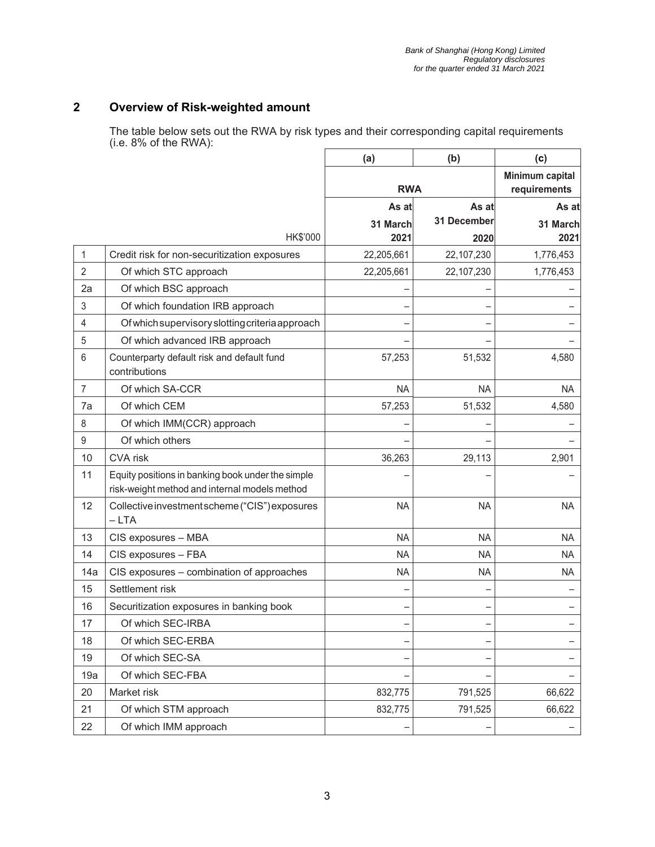#### **2 Overview of Risk-weighted amount**

The table below sets out the RWA by risk types and their corresponding capital requirements (i.e. 8% of the RWA):

|                |                                                                                                    | (a)        | (b)                             | (c)       |
|----------------|----------------------------------------------------------------------------------------------------|------------|---------------------------------|-----------|
|                |                                                                                                    | <b>RWA</b> | Minimum capital<br>requirements |           |
|                |                                                                                                    | As at      | As at                           | As at     |
|                |                                                                                                    | 31 March   | 31 December                     | 31 March  |
|                | HK\$'000                                                                                           | 2021       | 2020                            | 2021      |
| 1              | Credit risk for non-securitization exposures                                                       | 22,205,661 | 22,107,230                      | 1,776,453 |
| $\overline{2}$ | Of which STC approach                                                                              | 22,205,661 | 22,107,230                      | 1,776,453 |
| 2a             | Of which BSC approach                                                                              |            |                                 |           |
| 3              | Of which foundation IRB approach                                                                   |            |                                 |           |
| 4              | Of which supervisory slotting criteria approach                                                    |            |                                 |           |
| 5              | Of which advanced IRB approach                                                                     |            |                                 |           |
| 6              | Counterparty default risk and default fund<br>contributions                                        | 57,253     | 51,532                          | 4,580     |
| $\overline{7}$ | Of which SA-CCR                                                                                    | <b>NA</b>  | <b>NA</b>                       | <b>NA</b> |
| 7a             | Of which CEM                                                                                       | 57,253     | 51,532                          | 4,580     |
| 8              | Of which IMM(CCR) approach                                                                         |            |                                 |           |
| $9\,$          | Of which others                                                                                    |            |                                 |           |
| 10             | CVA risk                                                                                           | 36,263     | 29,113                          | 2,901     |
| 11             | Equity positions in banking book under the simple<br>risk-weight method and internal models method |            |                                 |           |
| 12             | Collective investment scheme ("CIS") exposures<br>$-LTA$                                           | <b>NA</b>  | <b>NA</b>                       | <b>NA</b> |
| 13             | CIS exposures - MBA                                                                                | <b>NA</b>  | <b>NA</b>                       | <b>NA</b> |
| 14             | CIS exposures - FBA                                                                                | ΝA         | <b>NA</b>                       | <b>NA</b> |
| 14a            | CIS exposures - combination of approaches                                                          | <b>NA</b>  | <b>NA</b>                       | <b>NA</b> |
| 15             | Settlement risk                                                                                    |            |                                 |           |
| 16             | Securitization exposures in banking book                                                           |            |                                 |           |
| 17             | Of which SEC-IRBA                                                                                  |            |                                 |           |
| 18             | Of which SEC-ERBA                                                                                  |            |                                 |           |
| 19             | Of which SEC-SA                                                                                    |            |                                 |           |
| 19a            | Of which SEC-FBA                                                                                   |            |                                 |           |
| 20             | Market risk                                                                                        | 832,775    | 791,525                         | 66,622    |
| 21             | Of which STM approach                                                                              | 832,775    | 791,525                         | 66,622    |
| 22             | Of which IMM approach                                                                              |            |                                 |           |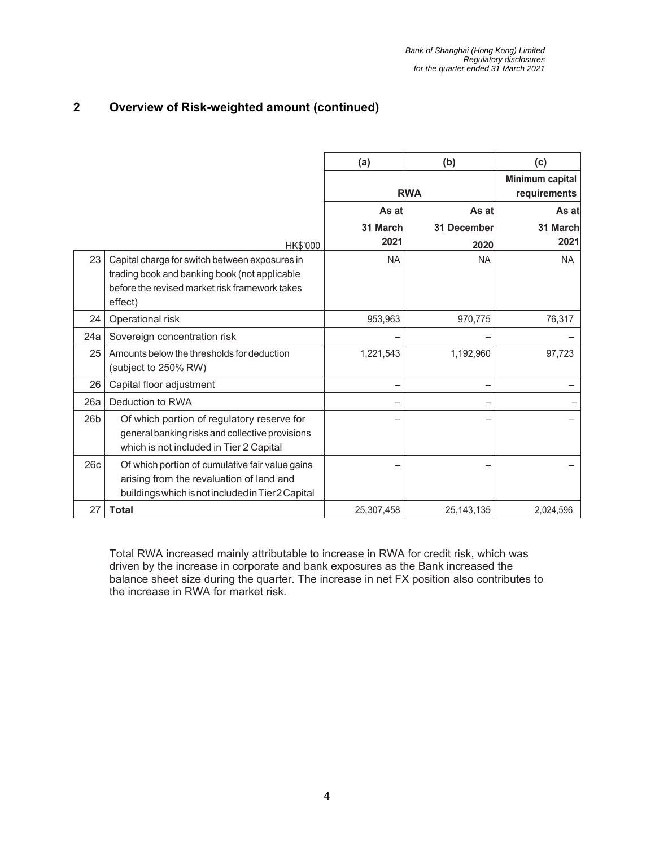#### **2 Overview of Risk-weighted amount (continued)**

|     |                                                                                                                                                              | (a)        | (b)                             | (c)       |
|-----|--------------------------------------------------------------------------------------------------------------------------------------------------------------|------------|---------------------------------|-----------|
|     |                                                                                                                                                              | <b>RWA</b> | Minimum capital<br>requirements |           |
|     |                                                                                                                                                              | As at      | As at                           | As atl    |
|     |                                                                                                                                                              | 31 March   | 31 December                     | 31 March  |
|     | HK\$'000                                                                                                                                                     | 2021       | 2020                            | 2021      |
| 23  | Capital charge for switch between exposures in<br>trading book and banking book (not applicable<br>before the revised market risk framework takes<br>effect) | <b>NA</b>  | <b>NA</b>                       | <b>NA</b> |
| 24  | Operational risk                                                                                                                                             | 953,963    | 970,775                         | 76,317    |
| 24a | Sovereign concentration risk                                                                                                                                 |            |                                 |           |
| 25  | Amounts below the thresholds for deduction<br>(subject to 250% RW)                                                                                           | 1,221,543  | 1,192,960                       | 97,723    |
| 26  | Capital floor adjustment                                                                                                                                     |            |                                 |           |
| 26a | Deduction to RWA                                                                                                                                             |            |                                 |           |
| 26b | Of which portion of regulatory reserve for<br>general banking risks and collective provisions<br>which is not included in Tier 2 Capital                     |            |                                 |           |
| 26c | Of which portion of cumulative fair value gains<br>arising from the revaluation of land and<br>buildings which is not included in Tier 2 Capital             |            |                                 |           |
| 27  | <b>Total</b>                                                                                                                                                 | 25,307,458 | 25, 143, 135                    | 2,024,596 |

Total RWA increased mainly attributable to increase in RWA for credit risk, which was driven by the increase in corporate and bank exposures as the Bank increased the balance sheet size during the quarter. The increase in net FX position also contributes to the increase in RWA for market risk.